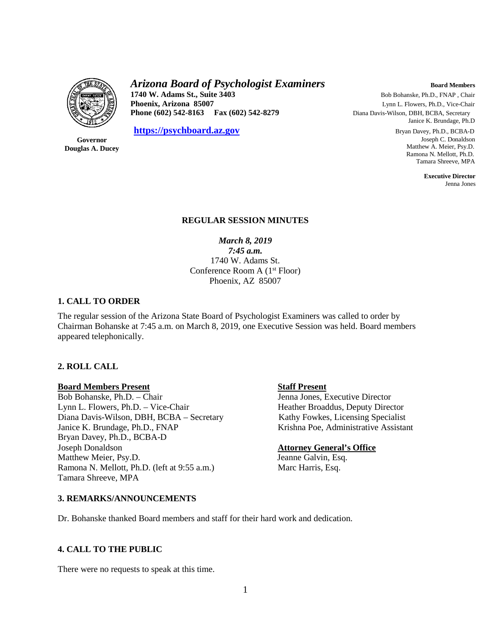

# *Arizona Board of Psychologist Examiners* **Board Members Board Members**

**1740 W. Adams St., Suite 3403 Bob Bohanske, Ph.D., FNAP**, Chair<br> **Phoenix, Arizona 85007 Bob Bohanske, Ph.D., Vice-Chair Phoenix, Arizona 85007** Lynn L. Flowers, Ph.D., Vice-Chair **Phone (602) 542-8163 Fax (602) 542-8279** Diana Davis-Wilson, DBH, BCBA, Secretary

**[https://psychboard.az.gov](https://psychboard.az.gov/)** Bryan Davey, Ph.D., BCBA-D

**Governor Douglas A. Ducey** Janice K. Brundage, Ph.D

 Joseph C. Donaldson Matthew A. Meier, Psy.D. Ramona N. Mellott, Ph.D. Tamara Shreeve, MPA

 **Executive Director** Jenna Jones

### **REGULAR SESSION MINUTES**

*March 8, 2019 7:45 a.m.* 1740 W. Adams St. Conference Room A (1<sup>st</sup> Floor) Phoenix, AZ 85007

# **1. CALL TO ORDER**

The regular session of the Arizona State Board of Psychologist Examiners was called to order by Chairman Bohanske at 7:45 a.m. on March 8, 2019, one Executive Session was held. Board members appeared telephonically.

# **2. ROLL CALL**

**Board Members Present**<br>
Bob Bohanske, Ph.D. – Chair<br>
Staff Present<br>
Jenna Jones, E Lynn L. Flowers, Ph.D. – Vice-Chair Heather Broaddus, Deputy Director Diana Davis-Wilson, DBH, BCBA – Secretary Kathy Fowkes, Licensing Specialist Janice K. Brundage, Ph.D., FNAP Krishna Poe, Administrative Assistant Bryan Davey, Ph.D., BCBA-D Joseph Donaldson **Attorney General's Office** Matthew Meier, Psy.D. Jeanne Galvin, Esq. Ramona N. Mellott, Ph.D. (left at 9:55 a.m.) Marc Harris, Esq. Tamara Shreeve, MPA

Jenna Jones, Executive Director

#### **3. REMARKS/ANNOUNCEMENTS**

Dr. Bohanske thanked Board members and staff for their hard work and dedication.

# **4. CALL TO THE PUBLIC**

There were no requests to speak at this time.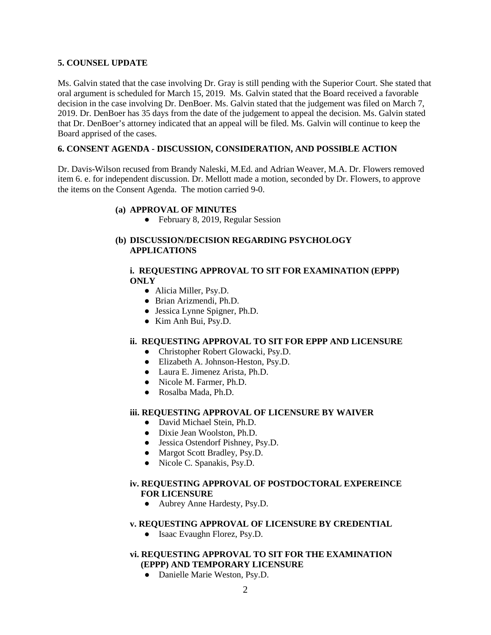### **5. COUNSEL UPDATE**

Ms. Galvin stated that the case involving Dr. Gray is still pending with the Superior Court. She stated that oral argument is scheduled for March 15, 2019. Ms. Galvin stated that the Board received a favorable decision in the case involving Dr. DenBoer. Ms. Galvin stated that the judgement was filed on March 7, 2019. Dr. DenBoer has 35 days from the date of the judgement to appeal the decision. Ms. Galvin stated that Dr. DenBoer's attorney indicated that an appeal will be filed. Ms. Galvin will continue to keep the Board apprised of the cases.

# **6. CONSENT AGENDA - DISCUSSION, CONSIDERATION, AND POSSIBLE ACTION**

Dr. Davis-Wilson recused from Brandy Naleski, M.Ed. and Adrian Weaver, M.A. Dr. Flowers removed item 6. e. for independent discussion. Dr. Mellott made a motion, seconded by Dr. Flowers, to approve the items on the Consent Agenda. The motion carried 9-0.

#### **(a) APPROVAL OF MINUTES**

**●** February 8, 2019, Regular Session

# **(b) DISCUSSION/DECISION REGARDING PSYCHOLOGY APPLICATIONS**

# **i. REQUESTING APPROVAL TO SIT FOR EXAMINATION (EPPP) ONLY**

- Alicia Miller, Psy.D.
- Brian Arizmendi, Ph.D.
- Jessica Lynne Spigner, Ph.D.
- Kim Anh Bui, Psy.D.

# **ii. REQUESTING APPROVAL TO SIT FOR EPPP AND LICENSURE**

- Christopher Robert Glowacki, Psy.D.
- Elizabeth A. Johnson-Heston, Psy.D.
- Laura E. Jimenez Arista, Ph.D.
- Nicole M. Farmer, Ph.D.
- Rosalba Mada, Ph.D.

#### **iii. REQUESTING APPROVAL OF LICENSURE BY WAIVER**

- David Michael Stein, Ph.D.
- Dixie Jean Woolston, Ph.D.
- Jessica Ostendorf Pishney, Psy.D.
- Margot Scott Bradley, Psy.D.
- Nicole C. Spanakis, Psy.D.

# **iv. REQUESTING APPROVAL OF POSTDOCTORAL EXPEREINCE FOR LICENSURE**

● Aubrey Anne Hardesty, Psy.D.

#### **v. REQUESTING APPROVAL OF LICENSURE BY CREDENTIAL**

• Isaac Evaughn Florez, Psy.D.

### **vi. REQUESTING APPROVAL TO SIT FOR THE EXAMINATION (EPPP) AND TEMPORARY LICENSURE**

● Danielle Marie Weston, Psy.D.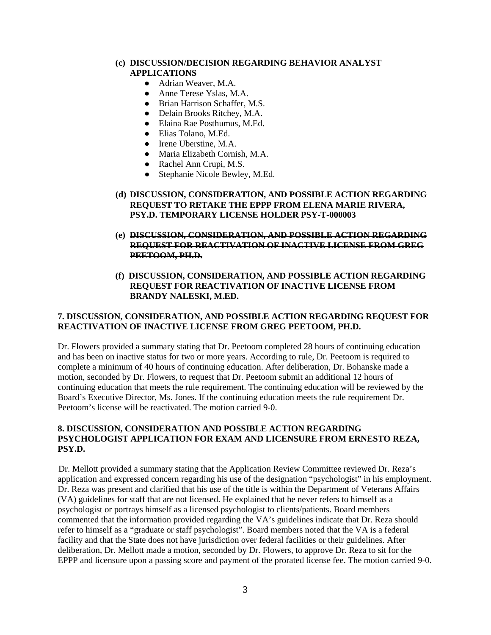### **(c) DISCUSSION/DECISION REGARDING BEHAVIOR ANALYST APPLICATIONS**

- Adrian Weaver, M.A.
- Anne Terese Yslas, M.A.
- Brian Harrison Schaffer, M.S.
- Delain Brooks Ritchey, M.A.
- Elaina Rae Posthumus, M.Ed.
- Elias Tolano, M.Ed.
- Irene Uberstine, M.A.
- Maria Elizabeth Cornish, M.A.
- Rachel Ann Crupi, M.S.
- Stephanie Nicole Bewley, M.Ed.
- **(d) DISCUSSION, CONSIDERATION, AND POSSIBLE ACTION REGARDING REQUEST TO RETAKE THE EPPP FROM ELENA MARIE RIVERA, PSY.D. TEMPORARY LICENSE HOLDER PSY-T-000003**
- **(e) DISCUSSION, CONSIDERATION, AND POSSIBLE ACTION REGARDING REQUEST FOR REACTIVATION OF INACTIVE LICENSE FROM GREG PEETOOM, PH.D.**
- **(f) DISCUSSION, CONSIDERATION, AND POSSIBLE ACTION REGARDING REQUEST FOR REACTIVATION OF INACTIVE LICENSE FROM BRANDY NALESKI, M.ED.**

# **7. DISCUSSION, CONSIDERATION, AND POSSIBLE ACTION REGARDING REQUEST FOR REACTIVATION OF INACTIVE LICENSE FROM GREG PEETOOM, PH.D.**

Dr. Flowers provided a summary stating that Dr. Peetoom completed 28 hours of continuing education and has been on inactive status for two or more years. According to rule, Dr. Peetoom is required to complete a minimum of 40 hours of continuing education. After deliberation, Dr. Bohanske made a motion, seconded by Dr. Flowers, to request that Dr. Peetoom submit an additional 12 hours of continuing education that meets the rule requirement. The continuing education will be reviewed by the Board's Executive Director, Ms. Jones. If the continuing education meets the rule requirement Dr. Peetoom's license will be reactivated. The motion carried 9-0.

# **8. DISCUSSION, CONSIDERATION AND POSSIBLE ACTION REGARDING PSYCHOLOGIST APPLICATION FOR EXAM AND LICENSURE FROM ERNESTO REZA, PSY.D.**

 Dr. Mellott provided a summary stating that the Application Review Committee reviewed Dr. Reza's application and expressed concern regarding his use of the designation "psychologist" in his employment. Dr. Reza was present and clarified that his use of the title is within the Department of Veterans Affairs (VA) guidelines for staff that are not licensed. He explained that he never refers to himself as a psychologist or portrays himself as a licensed psychologist to clients/patients. Board members commented that the information provided regarding the VA's guidelines indicate that Dr. Reza should refer to himself as a "graduate or staff psychologist". Board members noted that the VA is a federal facility and that the State does not have jurisdiction over federal facilities or their guidelines. After deliberation, Dr. Mellott made a motion, seconded by Dr. Flowers, to approve Dr. Reza to sit for the EPPP and licensure upon a passing score and payment of the prorated license fee. The motion carried 9-0.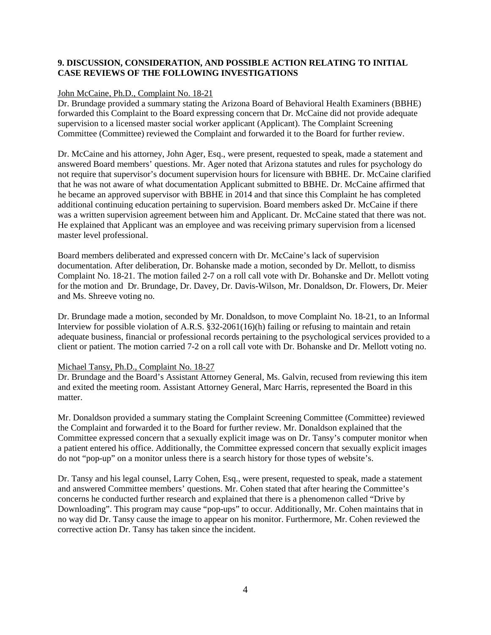# **9. DISCUSSION, CONSIDERATION, AND POSSIBLE ACTION RELATING TO INITIAL CASE REVIEWS OF THE FOLLOWING INVESTIGATIONS**

### John McCaine, Ph.D., Complaint No. 18-21

Dr. Brundage provided a summary stating the Arizona Board of Behavioral Health Examiners (BBHE) forwarded this Complaint to the Board expressing concern that Dr. McCaine did not provide adequate supervision to a licensed master social worker applicant (Applicant). The Complaint Screening Committee (Committee) reviewed the Complaint and forwarded it to the Board for further review.

Dr. McCaine and his attorney, John Ager, Esq., were present, requested to speak, made a statement and answered Board members' questions. Mr. Ager noted that Arizona statutes and rules for psychology do not require that supervisor's document supervision hours for licensure with BBHE. Dr. McCaine clarified that he was not aware of what documentation Applicant submitted to BBHE. Dr. McCaine affirmed that he became an approved supervisor with BBHE in 2014 and that since this Complaint he has completed additional continuing education pertaining to supervision. Board members asked Dr. McCaine if there was a written supervision agreement between him and Applicant. Dr. McCaine stated that there was not. He explained that Applicant was an employee and was receiving primary supervision from a licensed master level professional.

Board members deliberated and expressed concern with Dr. McCaine's lack of supervision documentation. After deliberation, Dr. Bohanske made a motion, seconded by Dr. Mellott, to dismiss Complaint No. 18-21. The motion failed 2-7 on a roll call vote with Dr. Bohanske and Dr. Mellott voting for the motion and Dr. Brundage, Dr. Davey, Dr. Davis-Wilson, Mr. Donaldson, Dr. Flowers, Dr. Meier and Ms. Shreeve voting no.

Dr. Brundage made a motion, seconded by Mr. Donaldson, to move Complaint No. 18-21, to an Informal Interview for possible violation of A.R.S. §32-2061(16)(h) failing or refusing to maintain and retain adequate business, financial or professional records pertaining to the psychological services provided to a client or patient. The motion carried 7-2 on a roll call vote with Dr. Bohanske and Dr. Mellott voting no.

# Michael Tansy, Ph.D., Complaint No. 18-27

Dr. Brundage and the Board's Assistant Attorney General, Ms. Galvin, recused from reviewing this item and exited the meeting room. Assistant Attorney General, Marc Harris, represented the Board in this matter.

Mr. Donaldson provided a summary stating the Complaint Screening Committee (Committee) reviewed the Complaint and forwarded it to the Board for further review. Mr. Donaldson explained that the Committee expressed concern that a sexually explicit image was on Dr. Tansy's computer monitor when a patient entered his office. Additionally, the Committee expressed concern that sexually explicit images do not "pop-up" on a monitor unless there is a search history for those types of website's.

Dr. Tansy and his legal counsel, Larry Cohen, Esq., were present, requested to speak, made a statement and answered Committee members' questions. Mr. Cohen stated that after hearing the Committee's concerns he conducted further research and explained that there is a phenomenon called "Drive by Downloading". This program may cause "pop-ups" to occur. Additionally, Mr. Cohen maintains that in no way did Dr. Tansy cause the image to appear on his monitor. Furthermore, Mr. Cohen reviewed the corrective action Dr. Tansy has taken since the incident.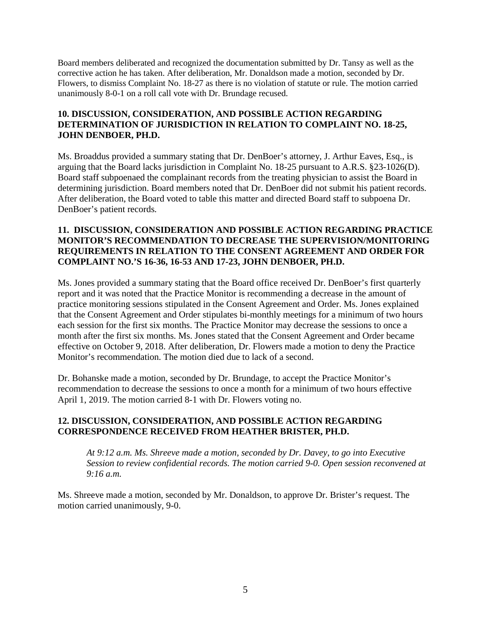Board members deliberated and recognized the documentation submitted by Dr. Tansy as well as the corrective action he has taken. After deliberation, Mr. Donaldson made a motion, seconded by Dr. Flowers, to dismiss Complaint No. 18-27 as there is no violation of statute or rule. The motion carried unanimously 8-0-1 on a roll call vote with Dr. Brundage recused.

# **10. DISCUSSION, CONSIDERATION, AND POSSIBLE ACTION REGARDING DETERMINATION OF JURISDICTION IN RELATION TO COMPLAINT NO. 18-25, JOHN DENBOER, PH.D.**

Ms. Broaddus provided a summary stating that Dr. DenBoer's attorney, J. Arthur Eaves, Esq., is arguing that the Board lacks jurisdiction in Complaint No. 18-25 pursuant to A.R.S. §23-1026(D). Board staff subpoenaed the complainant records from the treating physician to assist the Board in determining jurisdiction. Board members noted that Dr. DenBoer did not submit his patient records. After deliberation, the Board voted to table this matter and directed Board staff to subpoena Dr. DenBoer's patient records.

# **11. DISCUSSION, CONSIDERATION AND POSSIBLE ACTION REGARDING PRACTICE MONITOR'S RECOMMENDATION TO DECREASE THE SUPERVISION/MONITORING REQUIREMENTS IN RELATION TO THE CONSENT AGREEMENT AND ORDER FOR COMPLAINT NO.'S 16-36, 16-53 AND 17-23, JOHN DENBOER, PH.D.**

Ms. Jones provided a summary stating that the Board office received Dr. DenBoer's first quarterly report and it was noted that the Practice Monitor is recommending a decrease in the amount of practice monitoring sessions stipulated in the Consent Agreement and Order. Ms. Jones explained that the Consent Agreement and Order stipulates bi-monthly meetings for a minimum of two hours each session for the first six months. The Practice Monitor may decrease the sessions to once a month after the first six months. Ms. Jones stated that the Consent Agreement and Order became effective on October 9, 2018. After deliberation, Dr. Flowers made a motion to deny the Practice Monitor's recommendation. The motion died due to lack of a second.

Dr. Bohanske made a motion, seconded by Dr. Brundage, to accept the Practice Monitor's recommendation to decrease the sessions to once a month for a minimum of two hours effective April 1, 2019. The motion carried 8-1 with Dr. Flowers voting no.

# **12. DISCUSSION, CONSIDERATION, AND POSSIBLE ACTION REGARDING CORRESPONDENCE RECEIVED FROM HEATHER BRISTER, PH.D.**

*At 9:12 a.m. Ms. Shreeve made a motion, seconded by Dr. Davey, to go into Executive Session to review confidential records. The motion carried 9-0. Open session reconvened at 9:16 a.m.*

Ms. Shreeve made a motion, seconded by Mr. Donaldson, to approve Dr. Brister's request. The motion carried unanimously, 9-0.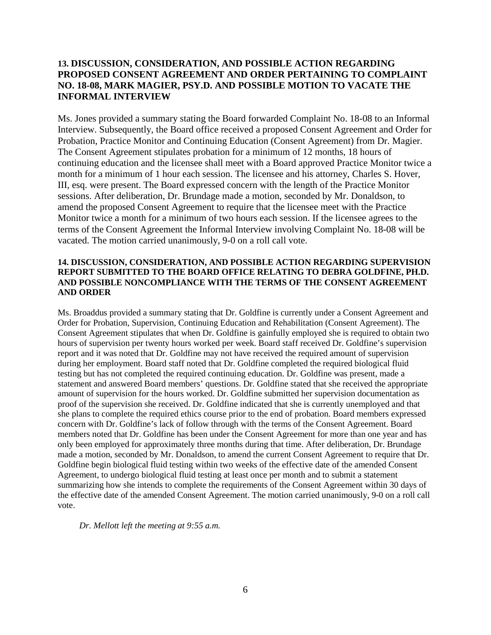# **13. DISCUSSION, CONSIDERATION, AND POSSIBLE ACTION REGARDING PROPOSED CONSENT AGREEMENT AND ORDER PERTAINING TO COMPLAINT NO. 18-08, MARK MAGIER, PSY.D. AND POSSIBLE MOTION TO VACATE THE INFORMAL INTERVIEW**

Ms. Jones provided a summary stating the Board forwarded Complaint No. 18-08 to an Informal Interview. Subsequently, the Board office received a proposed Consent Agreement and Order for Probation, Practice Monitor and Continuing Education (Consent Agreement) from Dr. Magier. The Consent Agreement stipulates probation for a minimum of 12 months, 18 hours of continuing education and the licensee shall meet with a Board approved Practice Monitor twice a month for a minimum of 1 hour each session. The licensee and his attorney, Charles S. Hover, III, esq. were present. The Board expressed concern with the length of the Practice Monitor sessions. After deliberation, Dr. Brundage made a motion, seconded by Mr. Donaldson, to amend the proposed Consent Agreement to require that the licensee meet with the Practice Monitor twice a month for a minimum of two hours each session. If the licensee agrees to the terms of the Consent Agreement the Informal Interview involving Complaint No. 18-08 will be vacated. The motion carried unanimously, 9-0 on a roll call vote.

# **14. DISCUSSION, CONSIDERATION, AND POSSIBLE ACTION REGARDING SUPERVISION REPORT SUBMITTED TO THE BOARD OFFICE RELATING TO DEBRA GOLDFINE, PH.D. AND POSSIBLE NONCOMPLIANCE WITH THE TERMS OF THE CONSENT AGREEMENT AND ORDER**

Ms. Broaddus provided a summary stating that Dr. Goldfine is currently under a Consent Agreement and Order for Probation, Supervision, Continuing Education and Rehabilitation (Consent Agreement). The Consent Agreement stipulates that when Dr. Goldfine is gainfully employed she is required to obtain two hours of supervision per twenty hours worked per week. Board staff received Dr. Goldfine's supervision report and it was noted that Dr. Goldfine may not have received the required amount of supervision during her employment. Board staff noted that Dr. Goldfine completed the required biological fluid testing but has not completed the required continuing education. Dr. Goldfine was present, made a statement and answered Board members' questions. Dr. Goldfine stated that she received the appropriate amount of supervision for the hours worked. Dr. Goldfine submitted her supervision documentation as proof of the supervision she received. Dr. Goldfine indicated that she is currently unemployed and that she plans to complete the required ethics course prior to the end of probation. Board members expressed concern with Dr. Goldfine's lack of follow through with the terms of the Consent Agreement. Board members noted that Dr. Goldfine has been under the Consent Agreement for more than one year and has only been employed for approximately three months during that time. After deliberation, Dr. Brundage made a motion, seconded by Mr. Donaldson, to amend the current Consent Agreement to require that Dr. Goldfine begin biological fluid testing within two weeks of the effective date of the amended Consent Agreement, to undergo biological fluid testing at least once per month and to submit a statement summarizing how she intends to complete the requirements of the Consent Agreement within 30 days of the effective date of the amended Consent Agreement. The motion carried unanimously, 9-0 on a roll call vote.

*Dr. Mellott left the meeting at 9:55 a.m.*